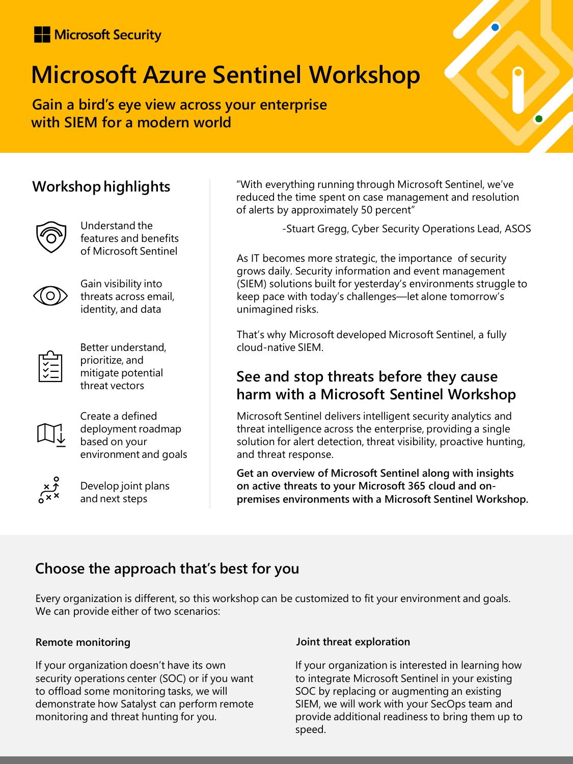## Microsoft Security

# **Microsoft Azure Sentinel Workshop**

**Gain a bird's eye view across your enterprise with SIEM for a modern world**

## **Workshop highlights**



Understand the features and benefits of Microsoft Sentinel



Gain visibility into threats across email, identity, and data



Better understand, prioritize, and mitigate potential threat vectors



Create a defined deployment roadmap based on your environment and goals



Develop joint plans and next steps

"With everything running through Microsoft Sentinel, we've reduced the time spent on case management and resolution of alerts by approximately 50 percent"

-Stuart Gregg, Cyber Security Operations Lead, ASOS

As IT becomes more strategic, the importance of security grows daily. Security information and event management (SIEM) solutions built for yesterday's environments struggle to keep pace with today's challenges—let alone tomorrow's unimagined risks.

That's why Microsoft developed Microsoft Sentinel, a fully cloud-native SIEM.

### **See and stop threats before they cause harm with a Microsoft Sentinel Workshop**

Microsoft Sentinel delivers intelligent security analytics and threat intelligence across the enterprise, providing a single solution for alert detection, threat visibility, proactive hunting, and threat response.

**Get an overview of Microsoft Sentinel along with insights on active threats to your Microsoft 365 cloud and onpremises environments with a Microsoft Sentinel Workshop.** 

## **Choose the approach that's best for you**

Every organization is different, so this workshop can be customized to fit your environment and goals. We can provide either of two scenarios:

#### **Remote monitoring**

If your organization doesn't have its own security operations center (SOC) or if you want to offload some monitoring tasks, we will demonstrate how Satalyst can perform remote monitoring and threat hunting for you.

#### **Joint threat exploration**

If your organization is interested in learning how to integrate Microsoft Sentinel in your existing SOC by replacing or augmenting an existing SIEM, we will work with your SecOps team and provide additional readiness to bring them up to speed.